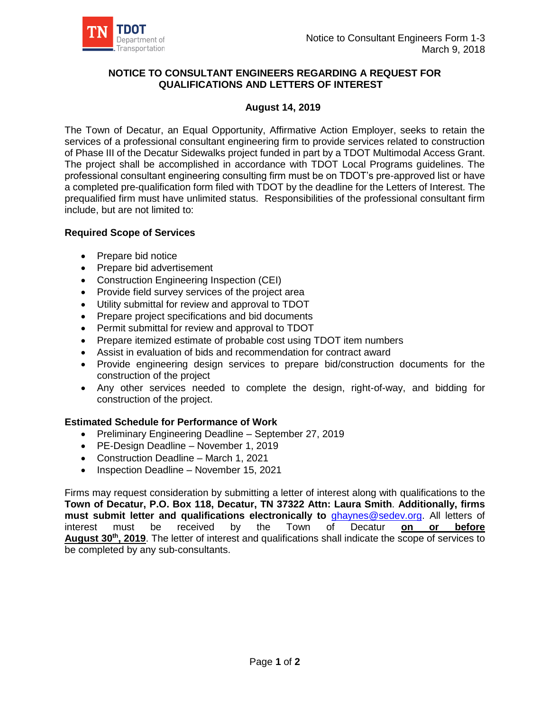

## **NOTICE TO CONSULTANT ENGINEERS REGARDING A REQUEST FOR QUALIFICATIONS AND LETTERS OF INTEREST**

## **August 14, 2019**

The Town of Decatur, an Equal Opportunity, Affirmative Action Employer, seeks to retain the services of a professional consultant engineering firm to provide services related to construction of Phase III of the Decatur Sidewalks project funded in part by a TDOT Multimodal Access Grant. The project shall be accomplished in accordance with TDOT Local Programs guidelines. The professional consultant engineering consulting firm must be on TDOT's pre-approved list or have a completed pre-qualification form filed with TDOT by the deadline for the Letters of Interest. The prequalified firm must have unlimited status. Responsibilities of the professional consultant firm include, but are not limited to:

## **Required Scope of Services**

- Prepare bid notice
- Prepare bid advertisement
- Construction Engineering Inspection (CEI)
- Provide field survey services of the project area
- Utility submittal for review and approval to TDOT
- Prepare project specifications and bid documents
- Permit submittal for review and approval to TDOT
- Prepare itemized estimate of probable cost using TDOT item numbers
- Assist in evaluation of bids and recommendation for contract award
- Provide engineering design services to prepare bid/construction documents for the construction of the project
- Any other services needed to complete the design, right-of-way, and bidding for construction of the project.

## **Estimated Schedule for Performance of Work**

- Preliminary Engineering Deadline September 27, 2019
- PE-Design Deadline November 1, 2019
- Construction Deadline March 1, 2021
- Inspection Deadline November 15, 2021

Firms may request consideration by submitting a letter of interest along with qualifications to the **Town of Decatur, P.O. Box 118, Decatur, TN 37322 Attn: Laura Smith**. **Additionally, firms must submit letter and qualifications electronically to** [ghaynes@sedev.org.](mailto:ghaynes@sedev.org) All letters of interest must be received by the Town of Decatur **on or before August 30th, 2019**. The letter of interest and qualifications shall indicate the scope of services to be completed by any sub-consultants.